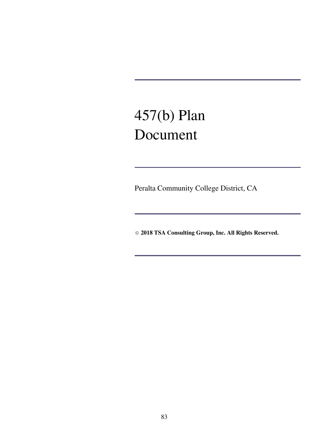# 457(b) Plan Document

Peralta Community College District, CA

© **2018 TSA Consulting Group, Inc. All Rights Reserved.**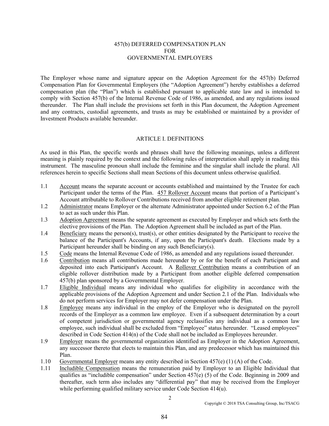## 457(b) DEFERRED COMPENSATION PLAN FOR GOVERNMENTAL EMPLOYERS

The Employer whose name and signature appear on the Adoption Agreement for the 457(b) Deferred Compensation Plan for Governmental Employers (the "Adoption Agreement") hereby establishes a deferred compensation plan (the "Plan") which is established pursuant to applicable state law and is intended to comply with Section 457(b) of the Internal Revenue Code of 1986, as amended, and any regulations issued thereunder. The Plan shall include the provisions set forth in this Plan document, the Adoption Agreement and any contracts, custodial agreements, and trusts as may be established or maintained by a provider of Investment Products available hereunder.

#### ARTICLE I. DEFINITIONS

As used in this Plan, the specific words and phrases shall have the following meanings, unless a different meaning is plainly required by the context and the following rules of interpretation shall apply in reading this instrument. The masculine pronoun shall include the feminine and the singular shall include the plural. All references herein to specific Sections shall mean Sections of this document unless otherwise qualified.

- 1.1 Account means the separate account or accounts established and maintained by the Trustee for each Participant under the terms of the Plan. 457 Rollover Account means that portion of a Participant's Account attributable to Rollover Contributions received from another eligible retirement plan.
- 1.2 Administrator means Employer or the alternate Administrator appointed under Section 6.2 of the Plan to act as such under this Plan.
- 1.3 Adoption Agreement means the separate agreement as executed by Employer and which sets forth the elective provisions of the Plan. The Adoption Agreement shall be included as part of the Plan.
- 1.4 Beneficiary means the person(s), trust(s), or other entities designated by the Participant to receive the balance of the Participant's Accounts, if any, upon the Participant's death. Elections made by a Participant hereunder shall be binding on any such Beneficiary(s).
- 1.5 Code means the Internal Revenue Code of 1986, as amended and any regulations issued thereunder.
- 1.6 Contribution means all contributions made hereunder by or for the benefit of each Participant and deposited into each Participant's Account. A Rollover Contribution means a contribution of an eligible rollover distribution made by a Participant from another eligible deferred compensation 457(b) plan sponsored by a Governmental Employer.
- 1.7 Eligible Individual means any individual who qualifies for eligibility in accordance with the applicable provisions of the Adoption Agreement and under Section 2.1 of the Plan. Individuals who do not perform services for Employer may not defer compensation under the Plan.
- 1.8 Employee means any individual in the employ of the Employer who is designated on the payroll records of the Employer as a common law employee. Even if a subsequent determination by a court of competent jurisdiction or governmental agency reclassifies any individual as a common law employee, such individual shall be excluded from "Employee" status hereunder. "Leased employees" described in Code Section 414(n) of the Code shall not be included as Employees hereunder.
- 1.9 Employer means the governmental organization identified as Employer in the Adoption Agreement, any successor thereto that elects to maintain this Plan, and any predecessor which has maintained this Plan.
- 1.10 Governmental Employer means any entity described in Section 457(e) (1) (A) of the Code.
- 1.11 Includible Compensation means the remuneration paid by Employer to an Eligible Individual that qualifies as "includible compensation" under Section 457(e) (5) of the Code. Beginning in 2009 and thereafter, such term also includes any "differential pay" that may be received from the Employer while performing qualified military service under Code Section 414(u).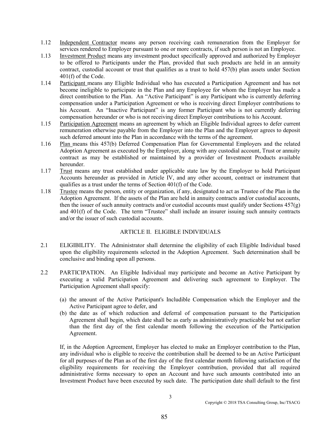- 1.12 Independent Contractor means any person receiving cash remuneration from the Employer for services rendered to Employer pursuant to one or more contracts, if such person is not an Employee.
- 1.13 Investment Product means any investment product specifically approved and authorized by Employer to be offered to Participants under the Plan, provided that such products are held in an annuity contract, custodial account or trust that qualifies as a trust to hold 457(b) plan assets under Section 401(f) of the Code.
- 1.14 Participant means any Eligible Individual who has executed a Participation Agreement and has not become ineligible to participate in the Plan and any Employee for whom the Employer has made a direct contribution to the Plan. An "Active Participant" is any Participant who is currently deferring compensation under a Participation Agreement or who is receiving direct Employer contributions to his Account. An "Inactive Participant" is any former Participant who is not currently deferring compensation hereunder or who is not receiving direct Employer contributions to his Account.
- 1.15 Participation Agreement means an agreement by which an Eligible Individual agrees to defer current remuneration otherwise payable from the Employer into the Plan and the Employer agrees to deposit such deferred amount into the Plan in accordance with the terms of the agreement.
- 1.16 Plan means this 457(b) Deferred Compensation Plan for Governmental Employers and the related Adoption Agreement as executed by the Employer, along with any custodial account, Trust or annuity contract as may be established or maintained by a provider of Investment Products available hereunder.
- 1.17 Trust means any trust established under applicable state law by the Employer to hold Participant Accounts hereunder as provided in Article IV, and any other account, contract or instrument that qualifies as a trust under the terms of Section 401(f) of the Code.
- 1.18 Trustee means the person, entity or organization, if any, designated to act as Trustee of the Plan in the Adoption Agreement. If the assets of the Plan are held in annuity contracts and/or custodial accounts, then the issuer of such annuity contracts and/or custodial accounts must qualify under Sections 457(g) and 401(f) of the Code. The term "Trustee" shall include an insurer issuing such annuity contracts and/or the issuer of such custodial accounts.

## ARTICLE II. ELIGIBLE INDIVIDUALS

- 2.1 ELIGIBILITY. The Administrator shall determine the eligibility of each Eligible Individual based upon the eligibility requirements selected in the Adoption Agreement. Such determination shall be conclusive and binding upon all persons.
- 2.2 PARTICIPATION. An Eligible Individual may participate and become an Active Participant by executing a valid Participation Agreement and delivering such agreement to Employer. The Participation Agreement shall specify:
	- (a) the amount of the Active Participant's Includible Compensation which the Employer and the Active Participant agree to defer, and
	- (b) the date as of which reduction and deferral of compensation pursuant to the Participation Agreement shall begin, which date shall be as early as administratively practicable but not earlier than the first day of the first calendar month following the execution of the Participation Agreement.

If, in the Adoption Agreement, Employer has elected to make an Employer contribution to the Plan, any individual who is eligible to receive the contribution shall be deemed to be an Active Participant for all purposes of the Plan as of the first day of the first calendar month following satisfaction of the eligibility requirements for receiving the Employer contribution, provided that all required administrative forms necessary to open an Account and have such amounts contributed into an Investment Product have been executed by such date. The participation date shall default to the first

85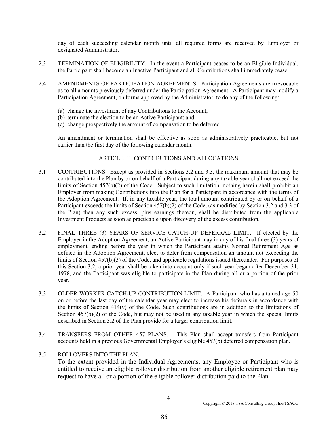day of each succeeding calendar month until all required forms are received by Employer or designated Administrator.

- 2.3 TERMINATION OF ELIGIBILITY. In the event a Participant ceases to be an Eligible Individual, the Participant shall become an Inactive Participant and all Contributions shall immediately cease.
- 2.4 AMENDMENTS OF PARTICIPATION AGREEMENTS. Participation Agreements are irrevocable as to all amounts previously deferred under the Participation Agreement. A Participant may modify a Participation Agreement, on forms approved by the Administrator, to do any of the following:
	- (a) change the investment of any Contributions to the Account;
	- (b) terminate the election to be an Active Participant; and
	- (c) change prospectively the amount of compensation to be deferred.

 An amendment or termination shall be effective as soon as administratively practicable, but not earlier than the first day of the following calendar month.

## ARTICLE III. CONTRIBUTIONS AND ALLOCATIONS

- 3.1 CONTRIBUTIONS. Except as provided in Sections 3.2 and 3.3, the maximum amount that may be contributed into the Plan by or on behalf of a Participant during any taxable year shall not exceed the limits of Section 457(b)(2) of the Code. Subject to such limitation, nothing herein shall prohibit an Employer from making Contributions into the Plan for a Participant in accordance with the terms of the Adoption Agreement. If, in any taxable year, the total amount contributed by or on behalf of a Participant exceeds the limits of Section 457(b)(2) of the Code, (as modified by Section 3.2 and 3.3 of the Plan) then any such excess, plus earnings thereon, shall be distributed from the applicable Investment Products as soon as practicable upon discovery of the excess contribution.
- 3.2 FINAL THREE (3) YEARS OF SERVICE CATCH-UP DEFERRAL LIMIT. If elected by the Employer in the Adoption Agreement, an Active Participant may in any of his final three (3) years of employment, ending before the year in which the Participant attains Normal Retirement Age as defined in the Adoption Agreement, elect to defer from compensation an amount not exceeding the limits of Section 457(b)(3) of the Code, and applicable regulations issued thereunder. For purposes of this Section 3.2, a prior year shall be taken into account only if such year began after December 31, 1978, and the Participant was eligible to participate in the Plan during all or a portion of the prior year.
- 3.3 OLDER WORKER CATCH-UP CONTRIBUTION LIMIT. A Participant who has attained age 50 on or before the last day of the calendar year may elect to increase his deferrals in accordance with the limits of Section 414(v) of the Code. Such contributions are in addition to the limitations of Section 457(b)(2) of the Code, but may not be used in any taxable year in which the special limits described in Section 3.2 of the Plan provide for a larger contribution limit.
- 3.4 TRANSFERS FROM OTHER 457 PLANS. This Plan shall accept transfers from Participant accounts held in a previous Governmental Employer's eligible 457(b) deferred compensation plan.
- 3.5 ROLLOVERS INTO THE PLAN.

To the extent provided in the Individual Agreements, any Employee or Participant who is entitled to receive an eligible rollover distribution from another eligible retirement plan may request to have all or a portion of the eligible rollover distribution paid to the Plan.

4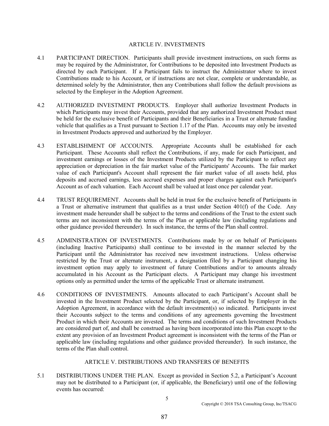## ARTICLE IV. INVESTMENTS

- 4.1 PARTICIPANT DIRECTION. Participants shall provide investment instructions, on such forms as may be required by the Administrator, for Contributions to be deposited into Investment Products as directed by each Participant. If a Participant fails to instruct the Administrator where to invest Contributions made to his Account, or if instructions are not clear, complete or understandable, as determined solely by the Administrator, then any Contributions shall follow the default provisions as selected by the Employer in the Adoption Agreement.
- 4.2 AUTHORIZED INVESTMENT PRODUCTS. Employer shall authorize Investment Products in which Participants may invest their Accounts, provided that any authorized Investment Product must be held for the exclusive benefit of Participants and their Beneficiaries in a Trust or alternate funding vehicle that qualifies as a Trust pursuant to Section 1.17 of the Plan. Accounts may only be invested in Investment Products approved and authorized by the Employer.
- 4.3 ESTABLISHMENT OF ACCOUNTS. Appropriate Accounts shall be established for each Participant. These Accounts shall reflect the Contributions, if any, made for each Participant, and investment earnings or losses of the Investment Products utilized by the Participant to reflect any appreciation or depreciation in the fair market value of the Participants' Accounts. The fair market value of each Participant's Account shall represent the fair market value of all assets held, plus deposits and accrued earnings, less accrued expenses and proper charges against each Participant's Account as of each valuation. Each Account shall be valued at least once per calendar year.
- 4.4 TRUST REQUIREMENT. Accounts shall be held in trust for the exclusive benefit of Participants in a Trust or alternative instrument that qualifies as a trust under Section 401(f) of the Code. Any investment made hereunder shall be subject to the terms and conditions of the Trust to the extent such terms are not inconsistent with the terms of the Plan or applicable law (including regulations and other guidance provided thereunder). In such instance, the terms of the Plan shall control.
- 4.5 ADMINISTRATION OF INVESTMENTS. Contributions made by or on behalf of Participants (including Inactive Participants) shall continue to be invested in the manner selected by the Participant until the Administrator has received new investment instructions. Unless otherwise restricted by the Trust or alternate instrument, a designation filed by a Participant changing his investment option may apply to investment of future Contributions and/or to amounts already accumulated in his Account as the Participant elects. A Participant may change his investment options only as permitted under the terms of the applicable Trust or alternate instrument.
- 4.6 CONDITIONS OF INVESTMENTS. Amounts allocated to each Participant's Account shall be invested in the Investment Product selected by the Participant, or, if selected by Employer in the Adoption Agreement, in accordance with the default investment(s) so indicated. Participants invest their Accounts subject to the terms and conditions of any agreements governing the Investment Product in which their Accounts are invested. The terms and conditions of such Investment Products are considered part of, and shall be construed as having been incorporated into this Plan except to the extent any provision of an Investment Product agreement is inconsistent with the terms of the Plan or applicable law (including regulations and other guidance provided thereunder). In such instance, the terms of the Plan shall control.

## ARTICLE V. DISTRIBUTIONS AND TRANSFERS OF BENEFITS

5.1 DISTRIBUTIONS UNDER THE PLAN. Except as provided in Section 5.2, a Participant's Account may not be distributed to a Participant (or, if applicable, the Beneficiary) until one of the following events has occurred: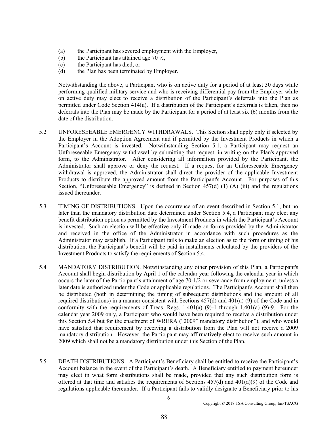- (a) the Participant has severed employment with the Employer,
- (b) the Participant has attained age  $70 \frac{1}{2}$ ,
- (c) the Participant has died, or
- (d) the Plan has been terminated by Employer.

Notwithstanding the above, a Participant who is on active duty for a period of at least 30 days while performing qualified military service and who is receiving differential pay from the Employer while on active duty may elect to receive a distribution of the Participant's deferrals into the Plan as permitted under Code Section 414(u). If a distribution of the Participant's deferrals is taken, then no deferrals into the Plan may be made by the Participant for a period of at least six (6) months from the date of the distribution.

- 5.2 UNFORESEEABLE EMERGENCY WITHDRAWALS. This Section shall apply only if selected by the Employer in the Adoption Agreement and if permitted by the Investment Products in which a Participant's Account is invested. Notwithstanding Section 5.1, a Participant may request an Unforeseeable Emergency withdrawal by submitting that request, in writing on the Plan's approved form, to the Administrator. After considering all information provided by the Participant, the Administrator shall approve or deny the request. If a request for an Unforeseeable Emergency withdrawal is approved, the Administrator shall direct the provider of the applicable Investment Products to distribute the approved amount from the Participant's Account. For purposes of this Section, "Unforeseeable Emergency" is defined in Section 457(d) (1) (A) (iii) and the regulations issued thereunder.
- 5.3 TIMING OF DISTRIBUTIONS. Upon the occurrence of an event described in Section 5.1, but no later than the mandatory distribution date determined under Section 5.4, a Participant may elect any benefit distribution option as permitted by the Investment Products in which the Participant's Account is invested. Such an election will be effective only if made on forms provided by the Administrator and received in the office of the Administrator in accordance with such procedures as the Administrator may establish. If a Participant fails to make an election as to the form or timing of his distribution, the Participant's benefit will be paid in installments calculated by the providers of the Investment Products to satisfy the requirements of Section 5.4.
- 5.4 MANDATORY DISTRIBUTION. Notwithstanding any other provision of this Plan, a Participant's Account shall begin distribution by April 1 of the calendar year following the calendar year in which occurs the later of the Participant's attainment of age 70-1/2 or severance from employment, unless a later date is authorized under the Code or applicable regulations. The Participant's Account shall then be distributed (both in determining the timing of subsequent distributions and the amount of all required distributions) in a manner consistent with Sections 457(d) and 401(a) (9) of the Code and in conformity with the requirements of Treas. Regs. 1.401(a) (9)-1 through 1.401(a) (9)-9. For the calendar year 2009 only, a Participant who would have been required to receive a distribution under this Section 5.4 but for the enactment of WRERA ("2009" mandatory distribution"), and who would have satisfied that requirement by receiving a distribution from the Plan will not receive a 2009 mandatory distribution. However, the Participant may affirmatively elect to receive such amount in 2009 which shall not be a mandatory distribution under this Section of the Plan.
- 5.5 DEATH DISTRIBUTIONS. A Participant's Beneficiary shall be entitled to receive the Participant's Account balance in the event of the Participant's death. A Beneficiary entitled to payment hereunder may elect in what form distributions shall be made, provided that any such distribution form is offered at that time and satisfies the requirements of Sections 457(d) and 401(a)(9) of the Code and regulations applicable thereunder. If a Participant fails to validly designate a Beneficiary prior to his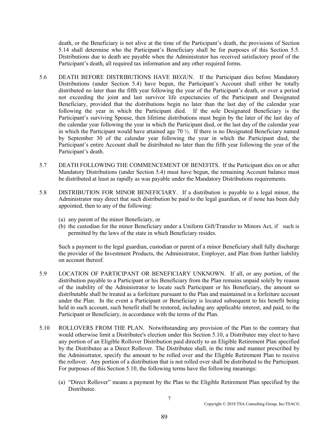death, or the Beneficiary is not alive at the time of the Participant's death, the provisions of Section 5.14 shall determine who the Participant's Beneficiary shall be for purposes of this Section 5.5. Distributions due to death are payable when the Administrator has received satisfactory proof of the Participant's death, all required tax information and any other required forms.

- 5.6 DEATH BEFORE DISTRIBUTIONS HAVE BEGUN. If the Participant dies before Mandatory Distributions (under Section 5.4) have begun, the Participant's Account shall either be totally distributed no later than the fifth year following the year of the Participant's death, or over a period not exceeding the joint and last survivor life expectancies of the Participant and Designated Beneficiary, provided that the distributions begin no later than the last day of the calendar year following the year in which the Participant died. If the sole Designated Beneficiary is the Participant's surviving Spouse, then lifetime distributions must begin by the later of the last day of the calendar year following the year in which the Participant died, or the last day of the calendar year in which the Participant would have attained age 70 ½. If there is no Designated Beneficiary named by September 30 of the calendar year following the year in which the Participant died, the Participant's entire Account shall be distributed no later than the fifth year following the year of the Participant's death.
- 5.7 DEATH FOLLOWING THE COMMENCEMENT OF BENEFITS. If the Participant dies on or after Mandatory Distributions (under Section 5.4) must have begun, the remaining Account balance must be distributed at least as rapidly as was payable under the Mandatory Distributions requirements.
- 5.8 DISTRIBUTION FOR MINOR BENEFICIARY. If a distribution is payable to a legal minor, the Administrator may direct that such distribution be paid to the legal guardian, or if none has been duly appointed, then to any of the following:
	- (a) any parent of the minor Beneficiary, or
	- (b) the custodian for the minor Beneficiary under a Uniform Gift/Transfer to Minors Act, if such is permitted by the laws of the state in which Beneficiary resides.

Such a payment to the legal guardian, custodian or parent of a minor Beneficiary shall fully discharge the provider of the Investment Products, the Administrator, Employer, and Plan from further liability on account thereof.

- 5.9 LOCATION OF PARTICIPANT OR BENEFICIARY UNKNOWN. If all, or any portion, of the distribution payable to a Participant or his Beneficiary from the Plan remains unpaid solely by reason of the inability of the Administrator to locate such Participant or his Beneficiary, the amount so distributable shall be treated as a forfeiture pursuant to the Plan and maintained in a forfeiture account under the Plan. In the event a Participant or Beneficiary is located subsequent to his benefit being held in such account, such benefit shall be restored, including any applicable interest, and paid, to the Participant or Beneficiary, in accordance with the terms of the Plan.
- 5.10 ROLLOVERS FROM THE PLAN. Notwithstanding any provision of the Plan to the contrary that would otherwise limit a Distributee's election under this Section 5.10, a Distributee may elect to have any portion of an Eligible Rollover Distribution paid directly to an Eligible Retirement Plan specified by the Distributee as a Direct Rollover. The Distributee shall, in the time and manner prescribed by the Administrator, specify the amount to be rolled over and the Eligible Retirement Plan to receive the rollover. Any portion of a distribution that is not rolled over shall be distributed to the Participant. For purposes of this Section 5.10, the following terms have the following meanings:
	- (a) "Direct Rollover" means a payment by the Plan to the Eligible Retirement Plan specified by the Distributee.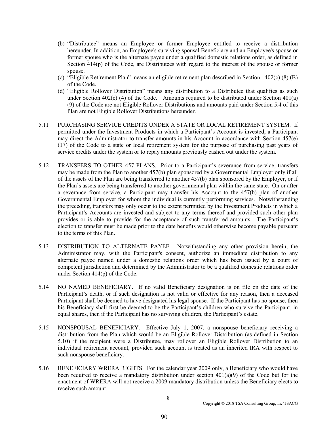- (b) "Distributee" means an Employee or former Employee entitled to receive a distribution hereunder. In addition, an Employee's surviving spousal Beneficiary and an Employee's spouse or former spouse who is the alternate payee under a qualified domestic relations order, as defined in Section 414(p) of the Code, are Distributees with regard to the interest of the spouse or former spouse.
- (c) "Eligible Retirement Plan" means an eligible retirement plan described in Section 402(c) (8) (B) of the Code.
- (d) "Eligible Rollover Distribution" means any distribution to a Distributee that qualifies as such under Section 402(c) (4) of the Code. Amounts required to be distributed under Section 401(a) (9) of the Code are not Eligible Rollover Distributions and amounts paid under Section 5.4 of this Plan are not Eligible Rollover Distributions hereunder.
- 5.11 PURCHASING SERVICE CREDITS UNDER A STATE OR LOCAL RETIREMENT SYSTEM. If permitted under the Investment Products in which a Participant's Account is invested, a Participant may direct the Administrator to transfer amounts in his Account in accordance with Section 457(e) (17) of the Code to a state or local retirement system for the purpose of purchasing past years of service credits under the system or to repay amounts previously cashed out under the system.
- 5.12 TRANSFERS TO OTHER 457 PLANS. Prior to a Participant's severance from service, transfers may be made from the Plan to another 457(b) plan sponsored by a Governmental Employer only if all of the assets of the Plan are being transferred to another 457(b) plan sponsored by the Employer, or if the Plan's assets are being transferred to another governmental plan within the same state. On or after a severance from service, a Participant may transfer his Account to the 457(b) plan of another Governmental Employer for whom the individual is currently performing services. Notwithstanding the preceding, transfers may only occur to the extent permitted by the Investment Products in which a Participant's Accounts are invested and subject to any terms thereof and provided such other plan provides or is able to provide for the acceptance of such transferred amounts. The Participant's election to transfer must be made prior to the date benefits would otherwise become payable pursuant to the terms of this Plan.
- 5.13 DISTRIBUTION TO ALTERNATE PAYEE. Notwithstanding any other provision herein, the Administrator may, with the Participant's consent, authorize an immediate distribution to any alternate payee named under a domestic relations order which has been issued by a court of competent jurisdiction and determined by the Administrator to be a qualified domestic relations order under Section 414(p) of the Code.
- 5.14 NO NAMED BENEFICIARY. If no valid Beneficiary designation is on file on the date of the Participant's death, or if such designation is not valid or effective for any reason, then a deceased Participant shall be deemed to have designated his legal spouse. If the Participant has no spouse, then his Beneficiary shall first be deemed to be the Participant's children who survive the Participant, in equal shares, then if the Participant has no surviving children, the Participant's estate.
- 5.15 NONSPOUSAL BENEFICIARY. Effective July 1, 2007, a nonspouse beneficiary receiving a distribution from the Plan which would be an Eligible Rollover Distribution (as defined in Section 5.10) if the recipient were a Distributee, may rollover an Eligible Rollover Distribution to an individual retirement account, provided such account is treated as an inherited IRA with respect to such nonspouse beneficiary.
- 5.16 BENEFICIARY WRERA RIGHTS. For the calendar year 2009 only, a Beneficiary who would have been required to receive a mandatory distribution under section 401(a)(9) of the Code but for the enactment of WRERA will not receive a 2009 mandatory distribution unless the Beneficiary elects to receive such amount.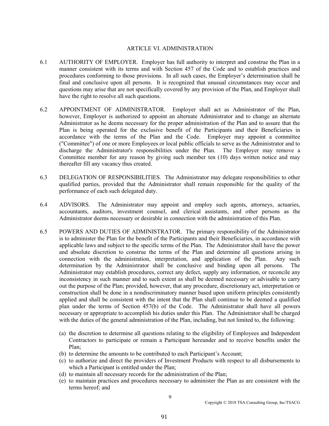#### ARTICLE VI. ADMINISTRATION

- 6.1 AUTHORITY OF EMPLOYER. Employer has full authority to interpret and construe the Plan in a manner consistent with its terms and with Section 457 of the Code and to establish practices and procedures conforming to those provisions. In all such cases, the Employer's determination shall be final and conclusive upon all persons. It is recognized that unusual circumstances may occur and questions may arise that are not specifically covered by any provision of the Plan, and Employer shall have the right to resolve all such questions.
- 6.2 APPOINTMENT OF ADMINISTRATOR. Employer shall act as Administrator of the Plan, however, Employer is authorized to appoint an alternate Administrator and to change an alternate Administrator as he deems necessary for the proper administration of the Plan and to assure that the Plan is being operated for the exclusive benefit of the Participants and their Beneficiaries in accordance with the terms of the Plan and the Code. Employer may appoint a committee ("Committee") of one or more Employees or local public officials to serve as the Administrator and to discharge the Administrator's responsibilities under the Plan. The Employer may remove a Committee member for any reason by giving such member ten (10) days written notice and may thereafter fill any vacancy thus created.
- 6.3 DELEGATION OF RESPONSIBILITIES. The Administrator may delegate responsibilities to other qualified parties, provided that the Administrator shall remain responsible for the quality of the performance of each such delegated duty.
- 6.4 ADVISORS. The Administrator may appoint and employ such agents, attorneys, actuaries, accountants, auditors, investment counsel, and clerical assistants, and other persons as the Administrator deems necessary or desirable in connection with the administration of this Plan.
- 6.5 POWERS AND DUTIES OF ADMINISTRATOR. The primary responsibility of the Administrator is to administer the Plan for the benefit of the Participants and their Beneficiaries, in accordance with applicable laws and subject to the specific terms of the Plan. The Administrator shall have the power and absolute discretion to construe the terms of the Plan and determine all questions arising in connection with the administration, interpretation, and application of the Plan. Any such determination by the Administrator shall be conclusive and binding upon all persons. The Administrator may establish procedures, correct any defect, supply any information, or reconcile any inconsistency in such manner and to such extent as shall be deemed necessary or advisable to carry out the purpose of the Plan; provided, however, that any procedure, discretionary act, interpretation or construction shall be done in a nondiscriminatory manner based upon uniform principles consistently applied and shall be consistent with the intent that the Plan shall continue to be deemed a qualified plan under the terms of Section 457(b) of the Code. The Administrator shall have all powers necessary or appropriate to accomplish his duties under this Plan. The Administrator shall be charged with the duties of the general administration of the Plan, including, but not limited to, the following:
	- (a) the discretion to determine all questions relating to the eligibility of Employees and Independent Contractors to participate or remain a Participant hereunder and to receive benefits under the Plan;
	- (b) to determine the amounts to be contributed to each Participant's Account;
	- (c) to authorize and direct the providers of Investment Products with respect to all disbursements to which a Participant is entitled under the Plan;
	- (d) to maintain all necessary records for the administration of the Plan;
	- (e) to maintain practices and procedures necessary to administer the Plan as are consistent with the terms hereof; and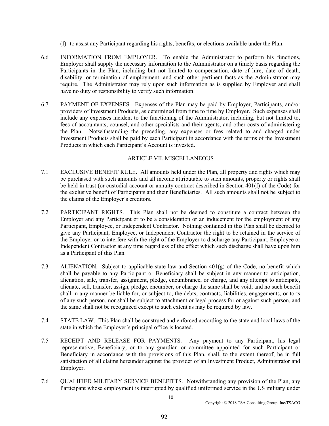- (f) to assist any Participant regarding his rights, benefits, or elections available under the Plan.
- 6.6 INFORMATION FROM EMPLOYER. To enable the Administrator to perform his functions, Employer shall supply the necessary information to the Administrator on a timely basis regarding the Participants in the Plan, including but not limited to compensation, date of hire, date of death, disability, or termination of employment, and such other pertinent facts as the Administrator may require. The Administrator may rely upon such information as is supplied by Employer and shall have no duty or responsibility to verify such information.
- 6.7 PAYMENT OF EXPENSES. Expenses of the Plan may be paid by Employer, Participants, and/or providers of Investment Products, as determined from time to time by Employer. Such expenses shall include any expenses incident to the functioning of the Administrator, including, but not limited to, fees of accountants, counsel, and other specialists and their agents, and other costs of administering the Plan. Notwithstanding the preceding, any expenses or fees related to and charged under Investment Products shall be paid by each Participant in accordance with the terms of the Investment Products in which each Participant's Account is invested.

#### ARTICLE VII. MISCELLANEOUS

- 7.1 EXCLUSIVE BENEFIT RULE. All amounts held under the Plan, all property and rights which may be purchased with such amounts and all income attributable to such amounts, property or rights shall be held in trust (or custodial account or annuity contract described in Section 401(f) of the Code) for the exclusive benefit of Participants and their Beneficiaries. All such amounts shall not be subject to the claims of the Employer's creditors.
- 7.2 PARTICIPANT RIGHTS. This Plan shall not be deemed to constitute a contract between the Employer and any Participant or to be a consideration or an inducement for the employment of any Participant, Employee, or Independent Contractor. Nothing contained in this Plan shall be deemed to give any Participant, Employee, or Independent Contractor the right to be retained in the service of the Employer or to interfere with the right of the Employer to discharge any Participant, Employee or Independent Contractor at any time regardless of the effect which such discharge shall have upon him as a Participant of this Plan.
- 7.3 ALIENATION. Subject to applicable state law and Section 401(g) of the Code, no benefit which shall be payable to any Participant or Beneficiary shall be subject in any manner to anticipation, alienation, sale, transfer, assignment, pledge, encumbrance, or charge, and any attempt to anticipate, alienate, sell, transfer, assign, pledge, encumber, or charge the same shall be void; and no such benefit shall in any manner be liable for, or subject to, the debts, contracts, liabilities, engagements, or torts of any such person, nor shall be subject to attachment or legal process for or against such person, and the same shall not be recognized except to such extent as may be required by law.
- 7.4 STATE LAW. This Plan shall be construed and enforced according to the state and local laws of the state in which the Employer's principal office is located.
- 7.5 RECEIPT AND RELEASE FOR PAYMENTS. Any payment to any Participant, his legal representative, Beneficiary, or to any guardian or committee appointed for such Participant or Beneficiary in accordance with the provisions of this Plan, shall, to the extent thereof, be in full satisfaction of all claims hereunder against the provider of an Investment Product, Administrator and Employer.
- 7.6 QUALIFIED MILITARY SERVICE BENEFITTS. Notwithstanding any provision of the Plan, any Participant whose employment is interrupted by qualified uniformed service in the US military under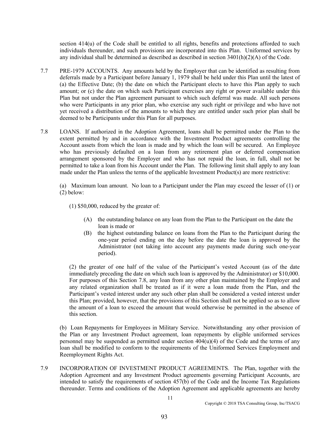section 414(u) of the Code shall be entitled to all rights, benefits and protections afforded to such individuals thereunder, and such provisions are incorporated into this Plan. Uniformed services by any individual shall be determined as described as described in section  $3401(h)(2)(A)$  of the Code.

- 7.7 PRE-1979 ACCOUNTS. Any amounts held by the Employer that can be identified as resulting from deferrals made by a Participant before January 1, 1979 shall be held under this Plan until the latest of (a) the Effective Date; (b) the date on which the Participant elects to have this Plan apply to such amount; or (c) the date on which such Participant exercises any right or power available under this Plan but not under the Plan agreement pursuant to which such deferral was made. All such persons who were Participants in any prior plan, who exercise any such right or privilege and who have not yet received a distribution of the amounts to which they are entitled under such prior plan shall be deemed to be Participants under this Plan for all purposes.
- 7.8 LOANS. If authorized in the Adoption Agreement, loans shall be permitted under the Plan to the extent permitted by and in accordance with the Investment Product agreements controlling the Account assets from which the loan is made and by which the loan will be secured. An Employee who has previously defaulted on a loan from any retirement plan or deferred compensation arrangement sponsored by the Employer and who has not repaid the loan, in full, shall not be permitted to take a loan from his Account under the Plan. The following limit shall apply to any loan made under the Plan unless the terms of the applicable Investment Product(s) are more restrictive:

 (a) Maximum loan amount. No loan to a Participant under the Plan may exceed the lesser of (1) or (2) below:

(1) \$50,000, reduced by the greater of:

- (A) the outstanding balance on any loan from the Plan to the Participant on the date the loan is made or
- (B) the highest outstanding balance on loans from the Plan to the Participant during the one-year period ending on the day before the date the loan is approved by the Administrator (not taking into account any payments made during such one-year period).

(2) the greater of one half of the value of the Participant's vested Account (as of the date immediately preceding the date on which such loan is approved by the Administrator) or \$10,000. For purposes of this Section 7.8, any loan from any other plan maintained by the Employer and any related organization shall be treated as if it were a loan made from the Plan, and the Participant's vested interest under any such other plan shall be considered a vested interest under this Plan; provided, however, that the provisions of this Section shall not be applied so as to allow the amount of a loan to exceed the amount that would otherwise be permitted in the absence of this section.

(b) Loan Repayments for Employees in Military Service. Notwithstanding any other provision of the Plan or any Investment Product agreement, loan repayments by eligible uniformed services personnel may be suspended as permitted under section  $404(u)(4)$  of the Code and the terms of any loan shall be modified to conform to the requirements of the Uniformed Services Employment and Reemployment Rights Act.

7.9 INCORPORATION OF INVESTMENT PRODUCT AGREEMENTS. The Plan, together with the Adoption Agreement and any Investment Product agreements governing Participant Accounts, are intended to satisfy the requirements of section 457(b) of the Code and the Income Tax Regulations thereunder. Terms and conditions of the Adoption Agreement and applicable agreements are hereby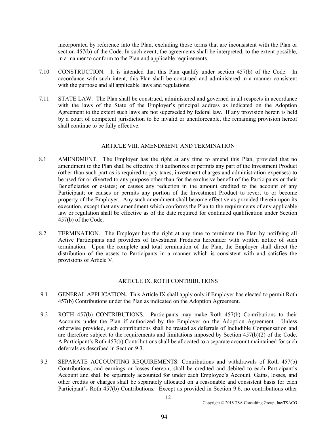incorporated by reference into the Plan, excluding those terms that are inconsistent with the Plan or section 457(b) of the Code. In such event, the agreements shall be interpreted, to the extent possible, in a manner to conform to the Plan and applicable requirements.

- 7.10 CONSTRUCTION. It is intended that this Plan qualify under section 457(b) of the Code. In accordance with such intent, this Plan shall be construed and administered in a manner consistent with the purpose and all applicable laws and regulations.
- 7.11 STATE LAW. The Plan shall be construed, administered and governed in all respects in accordance with the laws of the State of the Employer's principal address as indicated on the Adoption Agreement to the extent such laws are not superseded by federal law. If any provision herein is held by a court of competent jurisdiction to be invalid or unenforceable, the remaining provision hereof shall continue to be fully effective.

#### ARTICLE VIII. AMENDMENT AND TERMINATION

- 8.1 AMENDMENT. The Employer has the right at any time to amend this Plan, provided that no amendment to the Plan shall be effective if it authorizes or permits any part of the Investment Product (other than such part as is required to pay taxes, investment charges and administration expenses) to be used for or diverted to any purpose other than for the exclusive benefit of the Participants or their Beneficiaries or estates; or causes any reduction in the amount credited to the account of any Participant; or causes or permits any portion of the Investment Product to revert to or become property of the Employer. Any such amendment shall become effective as provided therein upon its execution, except that any amendment which conforms the Plan to the requirements of any applicable law or regulation shall be effective as of the date required for continued qualification under Section 457(b) of the Code.
- 8.2 TERMINATION. The Employer has the right at any time to terminate the Plan by notifying all Active Participants and providers of Investment Products hereunder with written notice of such termination. Upon the complete and total termination of the Plan, the Employer shall direct the distribution of the assets to Participants in a manner which is consistent with and satisfies the provisions of Article V.

## ARTICLE IX. ROTH CONTRIBUTIONS

- 9.1 GENERAL APPLICATION**.** This Article IX shall apply only if Employer has elected to permit Roth 457(b) Contributions under the Plan as indicated on the Adoption Agreement.
- 9.2 ROTH 457(b) CONTRIBUTIONS. Participants may make Roth 457(b) Contributions to their Accounts under the Plan if authorized by the Employer on the Adoption Agreement. Unless otherwise provided, such contributions shall be treated as deferrals of Includible Compensation and are therefore subject to the requirements and limitations imposed by Section 457(b)(2) of the Code. A Participant's Roth 457(b) Contributions shall be allocated to a separate account maintained for such deferrals as described in Section 9.3.
- 9.3 SEPARATE ACCOUNTING REQUIREMENTS. Contributions and withdrawals of Roth 457(b) Contributions, and earnings or losses thereon, shall be credited and debited to each Participant's Account and shall be separately accounted for under each Employee's Account. Gains, losses, and other credits or charges shall be separately allocated on a reasonable and consistent basis for each Participant's Roth 457(b) Contributions. Except as provided in Section 9.6, no contributions other